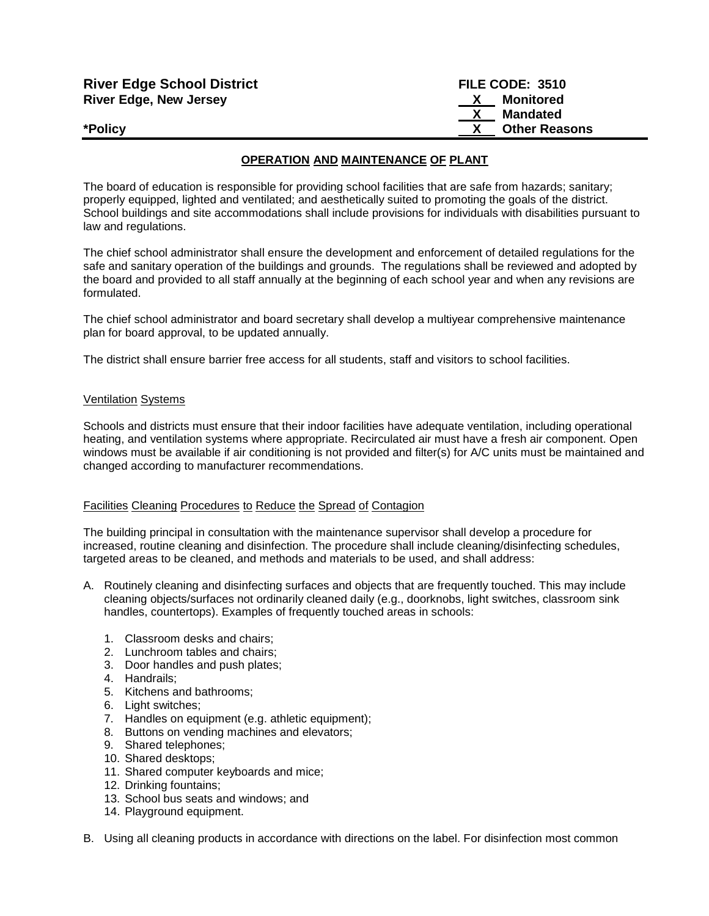| <b>River Edge School District</b> | FILE CODE: 3510           |
|-----------------------------------|---------------------------|
| <b>River Edge, New Jersey</b>     | Monitored<br>$\mathbf{x}$ |
|                                   | Mandated                  |
| *Policy                           | <b>Other Reasons</b>      |

### **OPERATION AND MAINTENANCE OF PLANT**

The board of education is responsible for providing school facilities that are safe from hazards; sanitary; properly equipped, lighted and ventilated; and aesthetically suited to promoting the goals of the district. School buildings and site accommodations shall include provisions for individuals with disabilities pursuant to law and regulations.

The chief school administrator shall ensure the development and enforcement of detailed regulations for the safe and sanitary operation of the buildings and grounds. The regulations shall be reviewed and adopted by the board and provided to all staff annually at the beginning of each school year and when any revisions are formulated.

The chief school administrator and board secretary shall develop a multiyear comprehensive maintenance plan for board approval, to be updated annually.

The district shall ensure barrier free access for all students, staff and visitors to school facilities.

#### Ventilation Systems

Schools and districts must ensure that their indoor facilities have adequate ventilation, including operational heating, and ventilation systems where appropriate. Recirculated air must have a fresh air component. Open windows must be available if air conditioning is not provided and filter(s) for A/C units must be maintained and changed according to manufacturer recommendations.

### Facilities Cleaning Procedures to Reduce the Spread of Contagion

The building principal in consultation with the maintenance supervisor shall develop a procedure for increased, routine cleaning and disinfection. The procedure shall include cleaning/disinfecting schedules, targeted areas to be cleaned, and methods and materials to be used, and shall address:

- A. Routinely cleaning and disinfecting surfaces and objects that are frequently touched. This may include cleaning objects/surfaces not ordinarily cleaned daily (e.g., doorknobs, light switches, classroom sink handles, countertops). Examples of frequently touched areas in schools:
	- 1. Classroom desks and chairs;
	- 2. Lunchroom tables and chairs;
	- 3. Door handles and push plates;
	- 4. Handrails;
	- 5. Kitchens and bathrooms;
	- 6. Light switches;
	- 7. Handles on equipment (e.g. athletic equipment);
	- 8. Buttons on vending machines and elevators;
	- 9. Shared telephones;
	- 10. Shared desktops;
	- 11. Shared computer keyboards and mice;
	- 12. Drinking fountains;
	- 13. School bus seats and windows; and
	- 14. Playground equipment.
- B. Using all cleaning products in accordance with directions on the label. For disinfection most common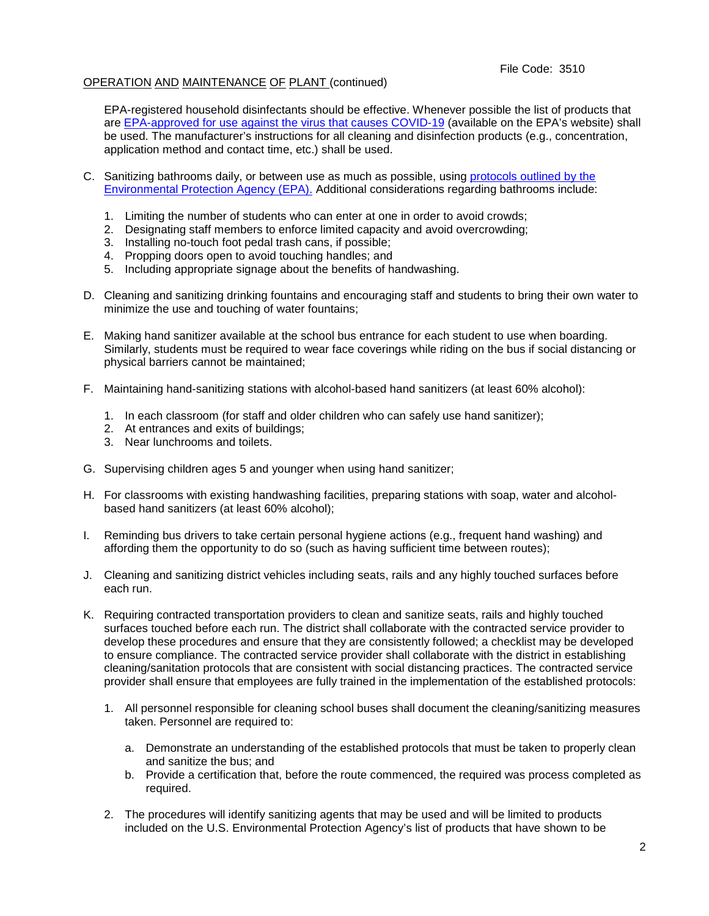EPA-registered household disinfectants should be effective. Whenever possible the list of products that are [EPA-approved for use against the virus that causes COVID-19](https://www.epa.gov/pesticide-registration/list-n-disinfectants-use-against-sars-cov-2-covid-19) [\(](https://www.epa.gov/pesticide-registration/list-n-disinfectants-use-against-sars-cov-2-covid-19)available on the EPA's website) shall be used. The manufacturer's instructions for all cleaning and disinfection products (e.g., concentration, application method and contact time, etc.) shall be used.

- C. Sanitizing bathrooms daily, or between use as much as possible, using [protocols outlined by the](https://www.epa.gov/pesticide-registration/list-n-disinfectants-use-against-sars-cov-2-covid-19) [Environmental Protection Agency \(EPA\).](https://www.epa.gov/pesticide-registration/list-n-disinfectants-use-against-sars-cov-2-covid-19) Additional considerations regarding bathrooms include:
	- 1. Limiting the number of students who can enter at one in order to avoid crowds;
	- 2. Designating staff members to enforce limited capacity and avoid overcrowding;
	- 3. Installing no-touch foot pedal trash cans, if possible;
	- 4. Propping doors open to avoid touching handles; and
	- 5. Including appropriate signage about the benefits of handwashing.
- D. Cleaning and sanitizing drinking fountains and encouraging staff and students to bring their own water to minimize the use and touching of water fountains;
- E. Making hand sanitizer available at the school bus entrance for each student to use when boarding. Similarly, students must be required to wear face coverings while riding on the bus if social distancing or physical barriers cannot be maintained;
- F. Maintaining hand-sanitizing stations with alcohol-based hand sanitizers (at least 60% alcohol):
	- 1. In each classroom (for staff and older children who can safely use hand sanitizer);
	- 2. At entrances and exits of buildings;
	- 3. Near lunchrooms and toilets.
- G. Supervising children ages 5 and younger when using hand sanitizer;
- H. For classrooms with existing handwashing facilities, preparing stations with soap, water and alcoholbased hand sanitizers (at least 60% alcohol);
- I. Reminding bus drivers to take certain personal hygiene actions (e.g., frequent hand washing) and affording them the opportunity to do so (such as having sufficient time between routes);
- J. Cleaning and sanitizing district vehicles including seats, rails and any highly touched surfaces before each run.
- K. Requiring contracted transportation providers to clean and sanitize seats, rails and highly touched surfaces touched before each run. The district shall collaborate with the contracted service provider to develop these procedures and ensure that they are consistently followed; a checklist may be developed to ensure compliance. The contracted service provider shall collaborate with the district in establishing cleaning/sanitation protocols that are consistent with social distancing practices. The contracted service provider shall ensure that employees are fully trained in the implementation of the established protocols:
	- 1. All personnel responsible for cleaning school buses shall document the cleaning/sanitizing measures taken. Personnel are required to:
		- a. Demonstrate an understanding of the established protocols that must be taken to properly clean and sanitize the bus; and
		- b. Provide a certification that, before the route commenced, the required was process completed as required.
	- 2. The procedures will identify sanitizing agents that may be used and will be limited to products included on the U.S. Environmental Protection Agency's list of products that have shown to be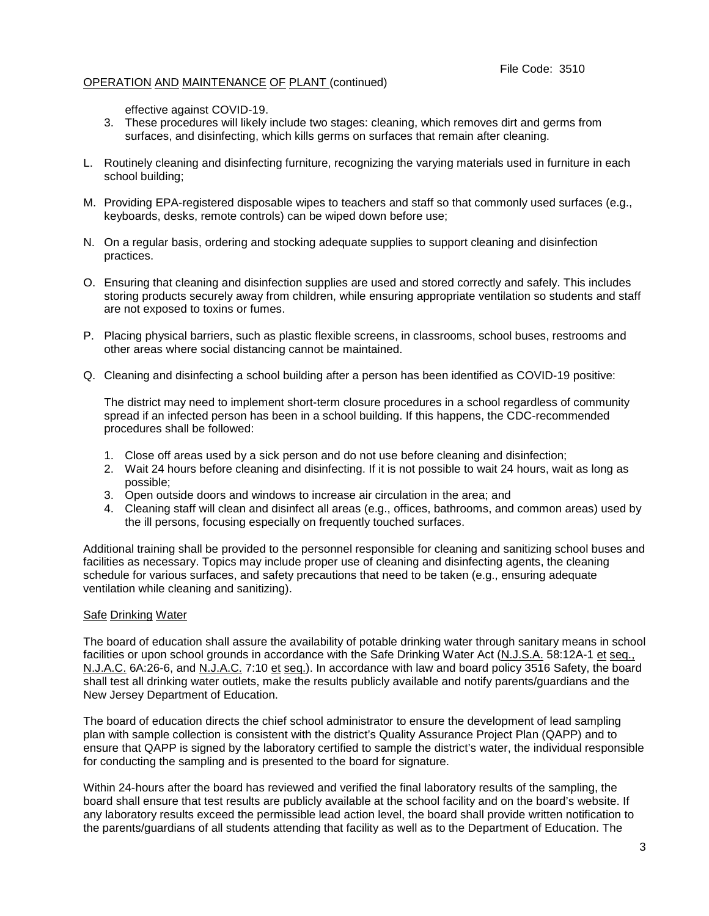effective against COVID-19.

- 3. These procedures will likely include two stages: cleaning, which removes dirt and germs from surfaces, and disinfecting, which kills germs on surfaces that remain after cleaning.
- L. Routinely cleaning and disinfecting furniture, recognizing the varying materials used in furniture in each school building;
- M. Providing EPA-registered disposable wipes to teachers and staff so that commonly used surfaces (e.g., keyboards, desks, remote controls) can be wiped down before use;
- N. On a regular basis, ordering and stocking adequate supplies to support cleaning and disinfection practices.
- O. Ensuring that cleaning and disinfection supplies are used and stored correctly and safely. This includes storing products securely away from children, while ensuring appropriate ventilation so students and staff are not exposed to toxins or fumes.
- P. Placing physical barriers, such as plastic flexible screens, in classrooms, school buses, restrooms and other areas where social distancing cannot be maintained.
- Q. Cleaning and disinfecting a school building after a person has been identified as COVID-19 positive:

The district may need to implement short-term closure procedures in a school regardless of community spread if an infected person has been in a school building. If this happens, the CDC-recommended procedures shall be followed:

- 1. Close off areas used by a sick person and do not use before cleaning and disinfection;
- 2. Wait 24 hours before cleaning and disinfecting. If it is not possible to wait 24 hours, wait as long as possible;
- 3. Open outside doors and windows to increase air circulation in the area; and
- 4. Cleaning staff will clean and disinfect all areas (e.g., offices, bathrooms, and common areas) used by the ill persons, focusing especially on frequently touched surfaces.

Additional training shall be provided to the personnel responsible for cleaning and sanitizing school buses and facilities as necessary. Topics may include proper use of cleaning and disinfecting agents, the cleaning schedule for various surfaces, and safety precautions that need to be taken (e.g., ensuring adequate ventilation while cleaning and sanitizing).

### Safe Drinking Water

The board of education shall assure the availability of potable drinking water through sanitary means in school facilities or upon school grounds in accordance with the Safe Drinking Water Act (N.J.S.A. 58:12A-1 et seq., N.J.A.C. 6A:26-6, and N.J.A.C. 7:10 et seq.). In accordance with law and board policy 3516 Safety, the board shall test all drinking water outlets, make the results publicly available and notify parents/guardians and the New Jersey Department of Education.

The board of education directs the chief school administrator to ensure the development of lead sampling plan with sample collection is consistent with the district's Quality Assurance Project Plan (QAPP) and to ensure that QAPP is signed by the laboratory certified to sample the district's water, the individual responsible for conducting the sampling and is presented to the board for signature.

Within 24-hours after the board has reviewed and verified the final laboratory results of the sampling, the board shall ensure that test results are publicly available at the school facility and on the board's website. If any laboratory results exceed the permissible lead action level, the board shall provide written notification to the parents/guardians of all students attending that facility as well as to the Department of Education. The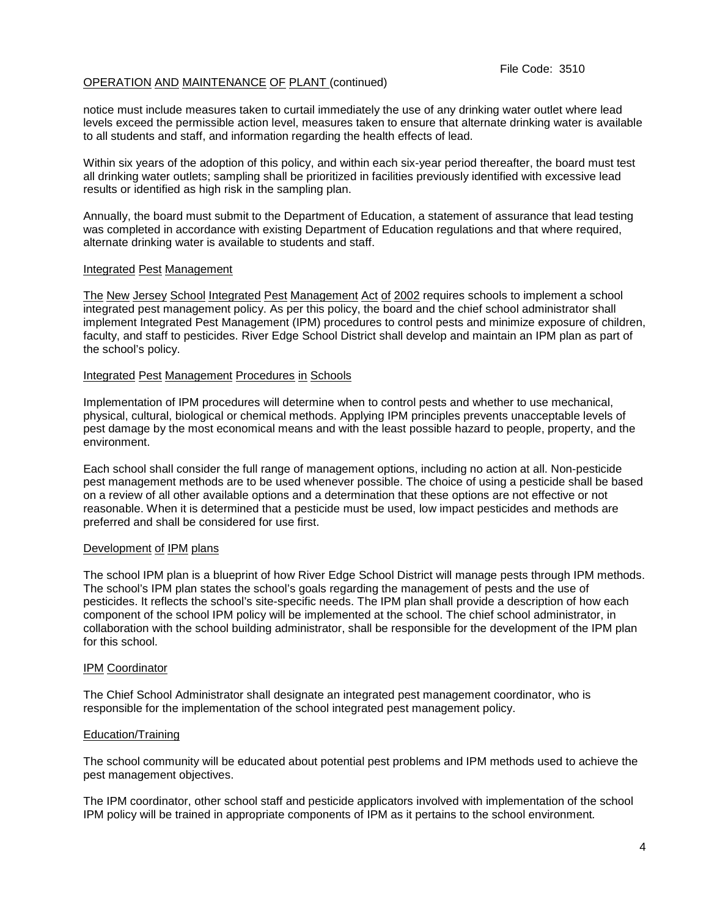notice must include measures taken to curtail immediately the use of any drinking water outlet where lead levels exceed the permissible action level, measures taken to ensure that alternate drinking water is available to all students and staff, and information regarding the health effects of lead.

Within six years of the adoption of this policy, and within each six-year period thereafter, the board must test all drinking water outlets; sampling shall be prioritized in facilities previously identified with excessive lead results or identified as high risk in the sampling plan.

Annually, the board must submit to the Department of Education, a statement of assurance that lead testing was completed in accordance with existing Department of Education regulations and that where required, alternate drinking water is available to students and staff.

### Integrated Pest Management

The New Jersey School Integrated Pest Management Act of 2002 requires schools to implement a school integrated pest management policy. As per this policy, the board and the chief school administrator shall implement Integrated Pest Management (IPM) procedures to control pests and minimize exposure of children, faculty, and staff to pesticides. River Edge School District shall develop and maintain an IPM plan as part of the school's policy.

#### Integrated Pest Management Procedures in Schools

Implementation of IPM procedures will determine when to control pests and whether to use mechanical, physical, cultural, biological or chemical methods. Applying IPM principles prevents unacceptable levels of pest damage by the most economical means and with the least possible hazard to people, property, and the environment.

Each school shall consider the full range of management options, including no action at all. Non-pesticide pest management methods are to be used whenever possible. The choice of using a pesticide shall be based on a review of all other available options and a determination that these options are not effective or not reasonable. When it is determined that a pesticide must be used, low impact pesticides and methods are preferred and shall be considered for use first.

### Development of IPM plans

The school IPM plan is a blueprint of how River Edge School District will manage pests through IPM methods. The school's IPM plan states the school's goals regarding the management of pests and the use of pesticides. It reflects the school's site-specific needs. The IPM plan shall provide a description of how each component of the school IPM policy will be implemented at the school. The chief school administrator, in collaboration with the school building administrator, shall be responsible for the development of the IPM plan for this school.

### IPM Coordinator

The Chief School Administrator shall designate an integrated pest management coordinator, who is responsible for the implementation of the school integrated pest management policy.

### Education/Training

The school community will be educated about potential pest problems and IPM methods used to achieve the pest management objectives.

The IPM coordinator, other school staff and pesticide applicators involved with implementation of the school IPM policy will be trained in appropriate components of IPM as it pertains to the school environment*.*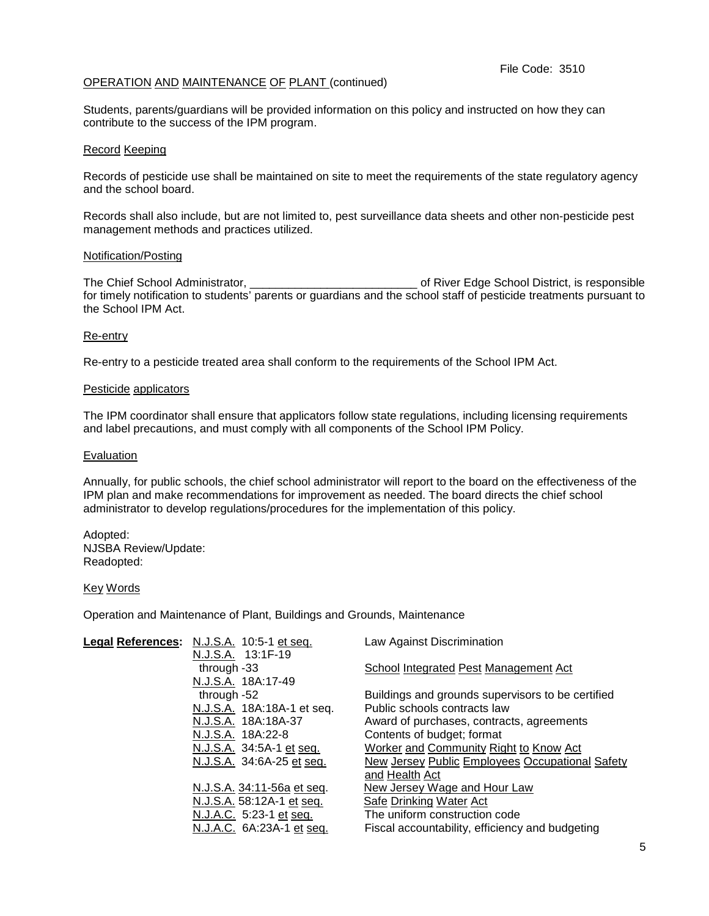Students, parents/guardians will be provided information on this policy and instructed on how they can contribute to the success of the IPM program.

### Record Keeping

Records of pesticide use shall be maintained on site to meet the requirements of the state regulatory agency and the school board.

Records shall also include, but are not limited to, pest surveillance data sheets and other non-pesticide pest management methods and practices utilized.

#### Notification/Posting

The Chief School Administrator, **Example 20** and The Chief School District, is responsible for timely notification to students' parents or guardians and the school staff of pesticide treatments pursuant to the School IPM Act.

#### Re-entry

Re-entry to a pesticide treated area shall conform to the requirements of the School IPM Act.

#### Pesticide applicators

The IPM coordinator shall ensure that applicators follow state regulations, including licensing requirements and label precautions, and must comply with all components of the School IPM Policy.

#### Evaluation

Annually, for public schools, the chief school administrator will report to the board on the effectiveness of the IPM plan and make recommendations for improvement as needed. The board directs the chief school administrator to develop regulations/procedures for the implementation of this policy.

Adopted: NJSBA Review/Update: Readopted:

#### Key Words

Operation and Maintenance of Plant, Buildings and Grounds, Maintenance

| Legal References: N.J.S.A. 10:5-1 et seq. | Law Against Discrimination                        |
|-------------------------------------------|---------------------------------------------------|
| N.J.S.A. 13:1F-19                         |                                                   |
| through -33                               | School Integrated Pest Management Act             |
| N.J.S.A. 18A:17-49                        |                                                   |
| through -52                               | Buildings and grounds supervisors to be certified |
| N.J.S.A. 18A:18A-1 et seq.                | Public schools contracts law                      |
| N.J.S.A. 18A:18A-37                       | Award of purchases, contracts, agreements         |
| N.J.S.A. 18A:22-8                         | Contents of budget; format                        |
| N.J.S.A. 34:5A-1 et seq.                  | Worker and Community Right to Know Act            |
| N.J.S.A. 34:6A-25 et seq.                 | New Jersey Public Employees Occupational Safety   |
|                                           | and Health Act                                    |
| N.J.S.A. 34:11-56a et seq.                | New Jersey Wage and Hour Law                      |
| <u>N.J.S.A.</u> 58:12A-1 et seq.          | <b>Safe Drinking Water Act</b>                    |
| N.J.A.C. 5:23-1 et seq.                   | The uniform construction code                     |
| N.J.A.C. 6A:23A-1 et seq.                 | Fiscal accountability, efficiency and budgeting   |
|                                           |                                                   |